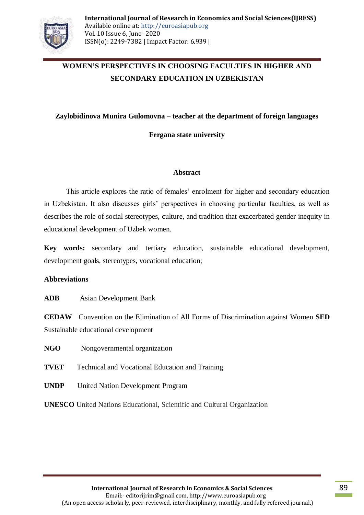

# **WOMEN'S PERSPECTIVES IN CHOOSING FACULTIES IN HIGHER AND SECONDARY EDUCATION IN UZBEKISTAN**

#### **Zaylobidinova Munira Gulomovna – teacher at the department of foreign languages**

**Fergana state university**

#### **Abstract**

This article explores the ratio of females' enrolment for higher and secondary education in Uzbekistan. It also discusses girls' perspectives in choosing particular faculties, as well as describes the role of social stereotypes, culture, and tradition that exacerbated gender inequity in educational development of Uzbek women.

**Key words:** secondary and tertiary education, sustainable educational development, development goals, stereotypes, vocational education;

#### **Abbreviations**

**ADB** Asian Development Bank

**CEDAW** Convention on the Elimination of All Forms of Discrimination against Women **SED**  Sustainable educational development

**NGO** Nongovernmental organization

- **TVET** Technical and Vocational Education and Training
- **UNDP** United Nation Development Program

**UNESCO** United Nations Educational, Scientific and Cultural Organization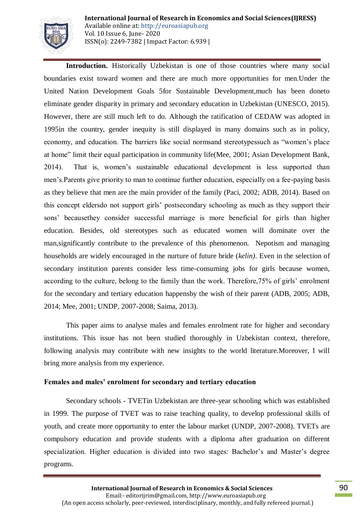

**International Journal of Research in Economics and Social Sciences(IJRESS)** Available online at: http://euroasiapub.org Vol. 10 Issue 6, June- 2020 ISSN(o): 2249-7382 | Impact Factor: 6.939 |

**Introduction.** Historically Uzbekistan is one of those countries where many social boundaries exist toward women and there are much more opportunities for men.Under the United Nation Development Goals 5for Sustainable Development,much has been doneto eliminate gender disparity in primary and secondary education in Uzbekistan (UNESCO, 2015). However, there are still much left to do. Although the ratification of CEDAW was adopted in 1995in the country, gender inequity is still displayed in many domains such as in policy, economy, and education. The barriers like social normsand stereotypessuch as "women's place at home" limit their equal participation in community life(Mee, 2001; Asian Development Bank, 2014). That is, women's sustainable educational development is less supported than men's.Parents give priority to man to continue further education, especially on a fee-paying basis as they believe that men are the main provider of the family (Paci, 2002; ADB, 2014). Based on this concept eldersdo not support girls' postsecondary schooling as much as they support their sons' becausethey consider successful marriage is more beneficial for girls than higher education. Besides, old stereotypes such as educated women will dominate over the man,significantly contribute to the prevalence of this phenomenon. Nepotism and managing households are widely encouraged in the nurture of future bride (*kelin)*. Even in the selection of secondary institution parents consider less time-consuming jobs for girls because women, according to the culture, belong to the family than the work. Therefore,75% of girls' enrolment for the secondary and tertiary education happensby the wish of their parent (ADB, 2005; ADB, 2014; Mee, 2001; UNDP, 2007-2008; Saima, 2013).

This paper aims to analyse males and females enrolment rate for higher and secondary institutions. This issue has not been studied thoroughly in Uzbekistan context, therefore, following analysis may contribute with new insights to the world literature.Moreover, I will bring more analysis from my experience.

#### **Females and males' enrolment for secondary and tertiary education**

Secondary schools - TVETin Uzbekistan are three-year schooling which was established in 1999. The purpose of TVET was to raise teaching quality, to develop professional skills of youth, and create more opportunity to enter the labour market (UNDP, 2007-2008). TVETs are compulsory education and provide students with a diploma after graduation on different specialization. Higher education is divided into two stages: Bachelor's and Master's degree programs.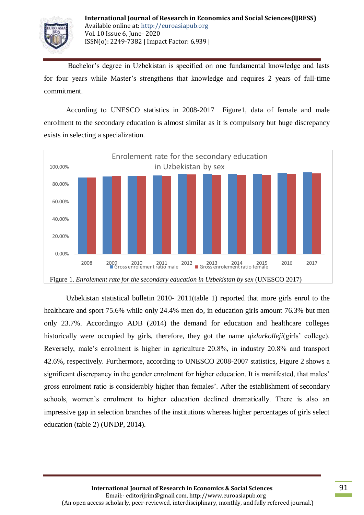

Bachelor's degree in Uzbekistan is specified on one fundamental knowledge and lasts for four years while Master's strengthens that knowledge and requires 2 years of full-time commitment.

According to UNESCO statistics in 2008-2017 Figure1, data of female and male enrolment to the secondary education is almost similar as it is compulsory but huge discrepancy exists in selecting a specialization.



Uzbekistan statistical bulletin 2010- 2011(table 1) reported that more girls enrol to the healthcare and sport 75.6% while only 24.4% men do, in education girls amount 76.3% but men only 23.7%. Accordingto ADB (2014) the demand for education and healthcare colleges historically were occupied by girls, therefore, they got the name *qizlarkolleji*(girls' college). Reversely, male's enrolment is higher in agriculture 20.8%, in industry 20.8% and transport 42.6%, respectively. Furthermore, according to UNESCO 2008-2007 statistics, Figure 2 shows a significant discrepancy in the gender enrolment for higher education. It is manifested, that males' gross enrolment ratio is considerably higher than females'. After the establishment of secondary schools, women's enrolment to higher education declined dramatically. There is also an impressive gap in selection branches of the institutions whereas higher percentages of girls select education (table 2) (UNDP, 2014).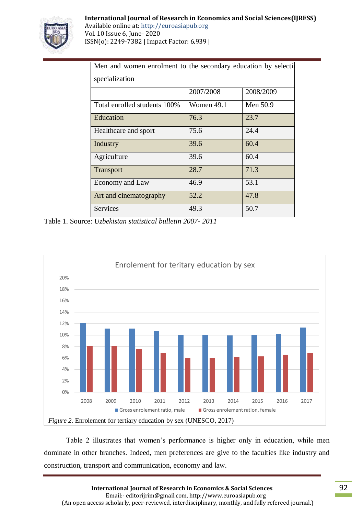

Available online at: http://euroasiapub.org Vol. 10 Issue 6, June- 2020 ISSN(o): 2249-7382 | Impact Factor: 6.939 |

| Men and women enrolment to the secondary education by selection |              |           |  |  |  |  |  |  |
|-----------------------------------------------------------------|--------------|-----------|--|--|--|--|--|--|
| specialization                                                  |              |           |  |  |  |  |  |  |
|                                                                 | 2007/2008    | 2008/2009 |  |  |  |  |  |  |
| Total enrolled students 100%                                    | Women $49.1$ | Men 50.9  |  |  |  |  |  |  |
| Education                                                       | 76.3         | 23.7      |  |  |  |  |  |  |
| Healthcare and sport                                            | 75.6         | 24.4      |  |  |  |  |  |  |
| Industry                                                        | 39.6         | 60.4      |  |  |  |  |  |  |
| Agriculture                                                     | 39.6         | 60.4      |  |  |  |  |  |  |
| <b>Transport</b>                                                | 28.7         | 71.3      |  |  |  |  |  |  |
| Economy and Law                                                 | 46.9         | 53.1      |  |  |  |  |  |  |
| Art and cinematography                                          | 52.2         | 47.8      |  |  |  |  |  |  |
| Services                                                        | 49.3         | 50.7      |  |  |  |  |  |  |

Table 1. Source: *Uzbekistan statistical bulletin 2007- 2011*



Table 2 illustrates that women's performance is higher only in education, while men dominate in other branches. Indeed, men preferences are give to the faculties like industry and construction, transport and communication, economy and law.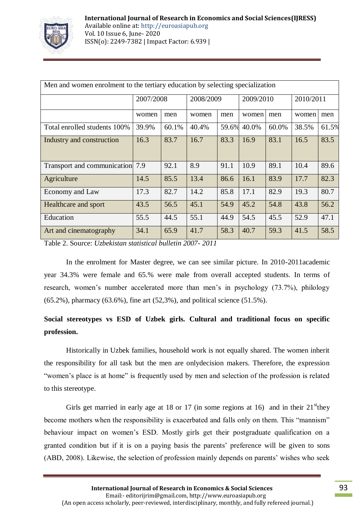

| Men and women enrolment to the tertiary education by selecting specialization |           |       |           |       |           |       |           |       |  |  |
|-------------------------------------------------------------------------------|-----------|-------|-----------|-------|-----------|-------|-----------|-------|--|--|
|                                                                               | 2007/2008 |       | 2008/2009 |       | 2009/2010 |       | 2010/2011 |       |  |  |
|                                                                               | women     | men   | women     | men   | women     | men   | women     | men   |  |  |
| Total enrolled students 100%                                                  | 39.9%     | 60.1% | 40.4%     | 59.6% | 40.0%     | 60.0% | 38.5%     | 61.5% |  |  |
| Industry and construction                                                     | 16.3      | 83.7  | 16.7      | 83.3  | 16.9      | 83.1  | 16.5      | 83.5  |  |  |
| Transport and communication 7.9                                               |           | 92.1  | 8.9       | 91.1  | 10.9      | 89.1  | 10.4      | 89.6  |  |  |
| Agriculture                                                                   | 14.5      | 85.5  | 13.4      | 86.6  | 16.1      | 83.9  | 17.7      | 82.3  |  |  |
| Economy and Law                                                               | 17.3      | 82.7  | 14.2      | 85.8  | 17.1      | 82.9  | 19.3      | 80.7  |  |  |
| Healthcare and sport                                                          | 43.5      | 56.5  | 45.1      | 54.9  | 45.2      | 54.8  | 43.8      | 56.2  |  |  |
| Education                                                                     | 55.5      | 44.5  | 55.1      | 44.9  | 54.5      | 45.5  | 52.9      | 47.1  |  |  |
| Art and cinematography                                                        | 34.1      | 65.9  | 41.7      | 58.3  | 40.7      | 59.3  | 41.5      | 58.5  |  |  |

Table 2. Source: *Uzbekistan statistical bulletin 2007- 2011*

In the enrolment for Master degree, we can see similar picture. In 2010-2011academic year 34.3% were female and 65.% were male from overall accepted students. In terms of research, women's number accelerated more than men's in psychology (73.7%), philology (65.2%), pharmacy (63.6%), fine art (52,3%), and political science (51.5%).

## **Social stereotypes vs ESD of Uzbek girls. Cultural and traditional focus on specific profession.**

Historically in Uzbek families, household work is not equally shared. The women inherit the responsibility for all task but the men are onlydecision makers. Therefore, the expression "women's place is at home" is frequently used by men and selection of the profession is related to this stereotype.

Girls get married in early age at 18 or 17 (in some regions at 16) and in their  $21^{\text{st}}$ they become mothers when the responsibility is exacerbated and falls only on them. This "mannism" behaviour impact on women's ESD. Mostly girls get their postgraduate qualification on a granted condition but if it is on a paying basis the parents' preference will be given to sons (ABD, 2008). Likewise, the selection of profession mainly depends on parents' wishes who seek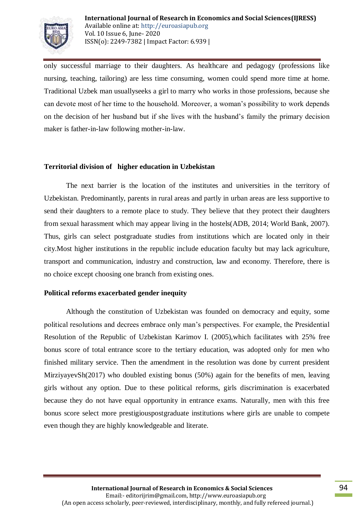

only successful marriage to their daughters. As healthcare and pedagogy (professions like nursing, teaching, tailoring) are less time consuming, women could spend more time at home. Traditional Uzbek man usuallyseeks a girl to marry who works in those professions, because she can devote most of her time to the household. Moreover, a woman's possibility to work depends on the decision of her husband but if she lives with the husband's family the primary decision maker is father-in-law following mother-in-law.

#### **Territorial division of higher education in Uzbekistan**

The next barrier is the location of the institutes and universities in the territory of Uzbekistan. Predominantly, parents in rural areas and partly in urban areas are less supportive to send their daughters to a remote place to study. They believe that they protect their daughters from sexual harassment which may appear living in the hostels(ADB, 2014; World Bank, 2007). Thus, girls can select postgraduate studies from institutions which are located only in their city.Most higher institutions in the republic include education faculty but may lack agriculture, transport and communication, industry and construction, law and economy. Therefore, there is no choice except choosing one branch from existing ones.

#### **Political reforms exacerbated gender inequity**

Although the constitution of Uzbekistan was founded on democracy and equity, some political resolutions and decrees embrace only man's perspectives. For example, the Presidential Resolution of the Republic of Uzbekistan Karimov I. (2005),which facilitates with 25% free bonus score of total entrance score to the tertiary education, was adopted only for men who finished military service. Then the amendment in the resolution was done by current president MirziyayevSh(2017) who doubled existing bonus (50%) again for the benefits of men, leaving girls without any option. Due to these political reforms, girls discrimination is exacerbated because they do not have equal opportunity in entrance exams. Naturally, men with this free bonus score select more prestigiouspostgraduate institutions where girls are unable to compete even though they are highly knowledgeable and literate.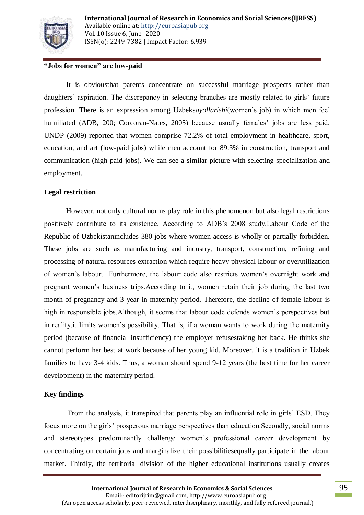

## **"Jobs for women" are low-paid**

It is obviousthat parents concentrate on successful marriage prospects rather than daughters' aspiration. The discrepancy in selecting branches are mostly related to girls' future profession. There is an expression among Uzbeks*ayollarishi*(women's job) in which men feel humiliated (ADB, 200; Corcoran-Nates, 2005) because usually females' jobs are less paid. UNDP (2009) reported that women comprise 72.2% of total employment in healthcare, sport, education, and art (low-paid jobs) while men account for 89.3% in construction, transport and communication (high-paid jobs). We can see a similar picture with selecting specialization and employment.

## **Legal restriction**

However, not only cultural norms play role in this phenomenon but also legal restrictions positively contribute to its existence. According to ADB's 2008 study,Labour Code of the Republic of Uzbekistanincludes 380 jobs where women access is wholly or partially forbidden. These jobs are such as manufacturing and industry, transport, construction, refining and processing of natural resources extraction which require heavy physical labour or overutilization of women's labour. Furthermore, the labour code also restricts women's overnight work and pregnant women's business trips.According to it, women retain their job during the last two month of pregnancy and 3-year in maternity period. Therefore, the decline of female labour is high in responsible jobs.Although, it seems that labour code defends women's perspectives but in reality,it limits women's possibility. That is, if a woman wants to work during the maternity period (because of financial insufficiency) the employer refusestaking her back. He thinks she cannot perform her best at work because of her young kid. Moreover, it is a tradition in Uzbek families to have 3-4 kids. Thus, a woman should spend 9-12 years (the best time for her career development) in the maternity period.

## **Key findings**

From the analysis, it transpired that parents play an influential role in girls' ESD. They focus more on the girls' prosperous marriage perspectives than education.Secondly, social norms and stereotypes predominantly challenge women's professional career development by concentrating on certain jobs and marginalize their possibilitiesequally participate in the labour market. Thirdly, the territorial division of the higher educational institutions usually creates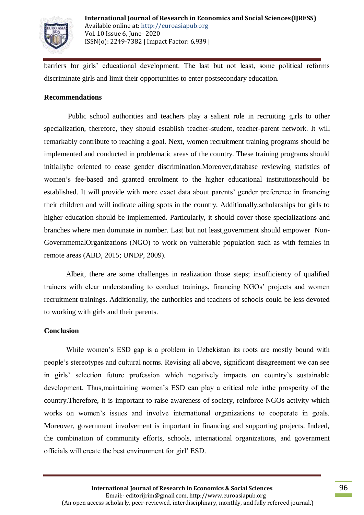

barriers for girls' educational development. The last but not least, some political reforms discriminate girls and limit their opportunities to enter postsecondary education.

#### **Recommendations**

Public school authorities and teachers play a salient role in recruiting girls to other specialization, therefore, they should establish teacher-student, teacher-parent network. It will remarkably contribute to reaching a goal. Next, women recruitment training programs should be implemented and conducted in problematic areas of the country. These training programs should initiallybe oriented to cease gender discrimination.Moreover,database reviewing statistics of women's fee-based and granted enrolment to the higher educational institutionsshould be established. It will provide with more exact data about parents' gender preference in financing their children and will indicate ailing spots in the country. Additionally,scholarships for girls to higher education should be implemented. Particularly, it should cover those specializations and branches where men dominate in number. Last but not least,government should empower Non-GovernmentalOrganizations (NGO) to work on vulnerable population such as with females in remote areas (ABD, 2015; UNDP, 2009).

Albeit, there are some challenges in realization those steps; insufficiency of qualified trainers with clear understanding to conduct trainings, financing NGOs' projects and women recruitment trainings. Additionally, the authorities and teachers of schools could be less devoted to working with girls and their parents.

#### **Conclusion**

While women's ESD gap is a problem in Uzbekistan its roots are mostly bound with people's stereotypes and cultural norms. Revising all above, significant disagreement we can see in girls' selection future profession which negatively impacts on country's sustainable development. Thus,maintaining women's ESD can play a critical role inthe prosperity of the country.Therefore, it is important to raise awareness of society, reinforce NGOs activity which works on women's issues and involve international organizations to cooperate in goals. Moreover, government involvement is important in financing and supporting projects. Indeed, the combination of community efforts, schools, international organizations, and government officials will create the best environment for girl' ESD.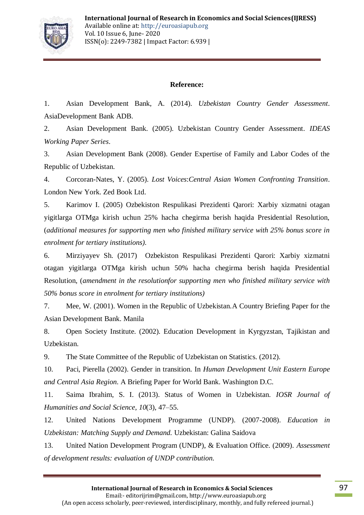

## **Reference:**

1. Asian Development Bank, A. (2014). *Uzbekistan Country Gender Assessment*. AsiaDevelopment Bank ADB.

2. Asian Development Bank. (2005). Uzbekistan Country Gender Assessment. *IDEAS Working Paper Series*.

3. Asian Development Bank (2008). Gender Expertise of Family and Labor Codes of the Republic of Uzbekistan.

4. Corcoran-Nates, Y. (2005). *Lost Voices*:*Central Asian Women Confronting Transition*. London New York. Zed Book Ltd.

5. Karimov I. (2005) Ozbekiston Respulikasi Prezidenti Qarori: Xarbiy xizmatni otagan yigitlarga OTMga kirish uchun 25% hacha chegirma berish haqida Presidential Resolution, (*additional measures for supporting men who finished military service with 25% bonus score in enrolment for tertiary institutions).* 

6. Mirziyayev Sh. (2017) Ozbekiston Respulikasi Prezidenti Qarori: Xarbiy xizmatni otagan yigitlarga OTMga kirish uchun 50% hacha chegirma berish haqida Presidential Resolution, (*amendment in the resolutionfor supporting men who finished military service with 50% bonus score in enrolment for tertiary institutions)* 

7. Mee, W. (2001). Women in the Republic of Uzbekistan.A Country Briefing Paper for the Asian Development Bank. Manila

8. Open Society Institute. (2002). Education Development in Kyrgyzstan, Tajikistan and Uzbekistan.

9. The State Committee of the Republic of Uzbekistan on Statistics. (2012).

10. Paci, Pierella (2002). Gender in transition. In *Human Development Unit Eastern Europe and Central Asia Region*. A Briefing Paper for World Bank. Washington D.C.

11. Saima Ibrahim, S. I. (2013). Status of Women in Uzbekistan. *IOSR Journal of Humanities and Social Science*, *10*(3), 47–55.

12. United Nations Development Programme (UNDP). (2007-2008). *Education in Uzbekistan: Matching Supply and Demand.* Uzbekistan: Galina Saidova

13. United Nation Development Program (UNDP), & Evaluation Office. (2009). *Assessment of development results: evaluation of UNDP contribution.*